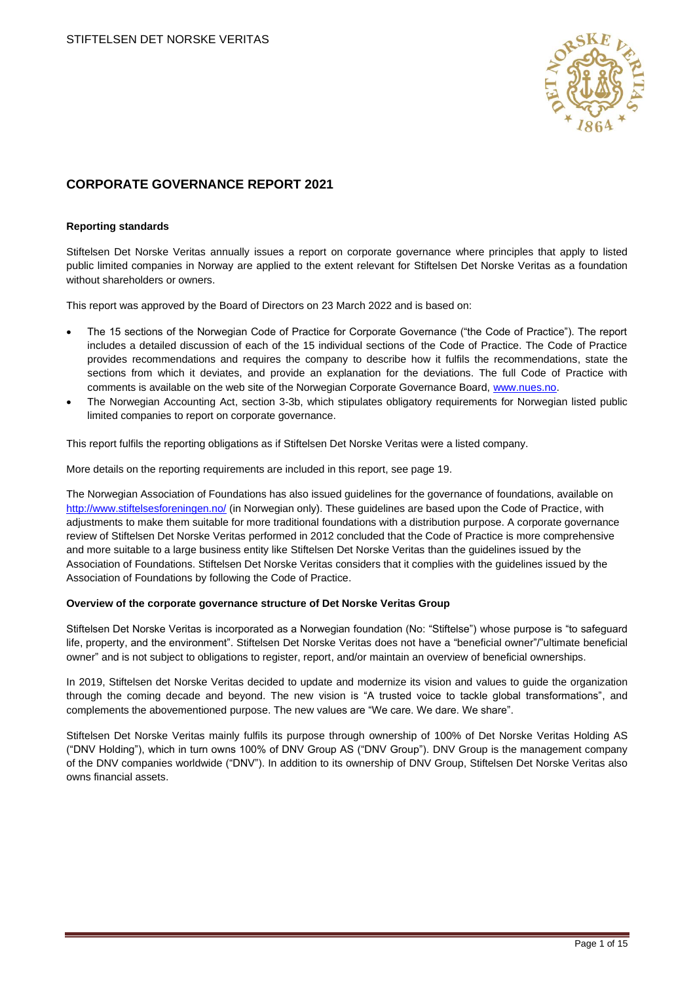

# **CORPORATE GOVERNANCE REPORT 2021**

#### **Reporting standards**

Stiftelsen Det Norske Veritas annually issues a report on corporate governance where principles that apply to listed public limited companies in Norway are applied to the extent relevant for Stiftelsen Det Norske Veritas as a foundation without shareholders or owners.

This report was approved by the Board of Directors on 23 March 2022 and is based on:

- The 15 sections of the Norwegian Code of Practice for Corporate Governance ("the Code of Practice"). The report includes a detailed discussion of each of the 15 individual sections of the Code of Practice. The Code of Practice provides recommendations and requires the company to describe how it fulfils the recommendations, state the sections from which it deviates, and provide an explanation for the deviations. The full Code of Practice with comments is available on the web site of the Norwegian Corporate Governance Board, [www.nues.no.](http://www.nues.no/)
- The Norwegian Accounting Act, section 3-3b, which stipulates obligatory requirements for Norwegian listed public limited companies to report on corporate governance.

This report fulfils the reporting obligations as if Stiftelsen Det Norske Veritas were a listed company.

More details on the reporting requirements are included in this report, see page 19.

The Norwegian Association of Foundations has also issued guidelines for the governance of foundations, available on <http://www.stiftelsesforeningen.no/> (in Norwegian only). These guidelines are based upon the Code of Practice, with adjustments to make them suitable for more traditional foundations with a distribution purpose. A corporate governance review of Stiftelsen Det Norske Veritas performed in 2012 concluded that the Code of Practice is more comprehensive and more suitable to a large business entity like Stiftelsen Det Norske Veritas than the guidelines issued by the Association of Foundations. Stiftelsen Det Norske Veritas considers that it complies with the guidelines issued by the Association of Foundations by following the Code of Practice.

#### **Overview of the corporate governance structure of Det Norske Veritas Group**

Stiftelsen Det Norske Veritas is incorporated as a Norwegian foundation (No: "Stiftelse") whose purpose is "to safeguard life, property, and the environment". Stiftelsen Det Norske Veritas does not have a "beneficial owner"/"ultimate beneficial owner" and is not subject to obligations to register, report, and/or maintain an overview of beneficial ownerships.

In 2019, Stiftelsen det Norske Veritas decided to update and modernize its vision and values to guide the organization through the coming decade and beyond. The new vision is "A trusted voice to tackle global transformations", and complements the abovementioned purpose. The new values are "We care. We dare. We share".

Stiftelsen Det Norske Veritas mainly fulfils its purpose through ownership of 100% of Det Norske Veritas Holding AS ("DNV Holding"), which in turn owns 100% of DNV Group AS ("DNV Group"). DNV Group is the management company of the DNV companies worldwide ("DNV"). In addition to its ownership of DNV Group, Stiftelsen Det Norske Veritas also owns financial assets.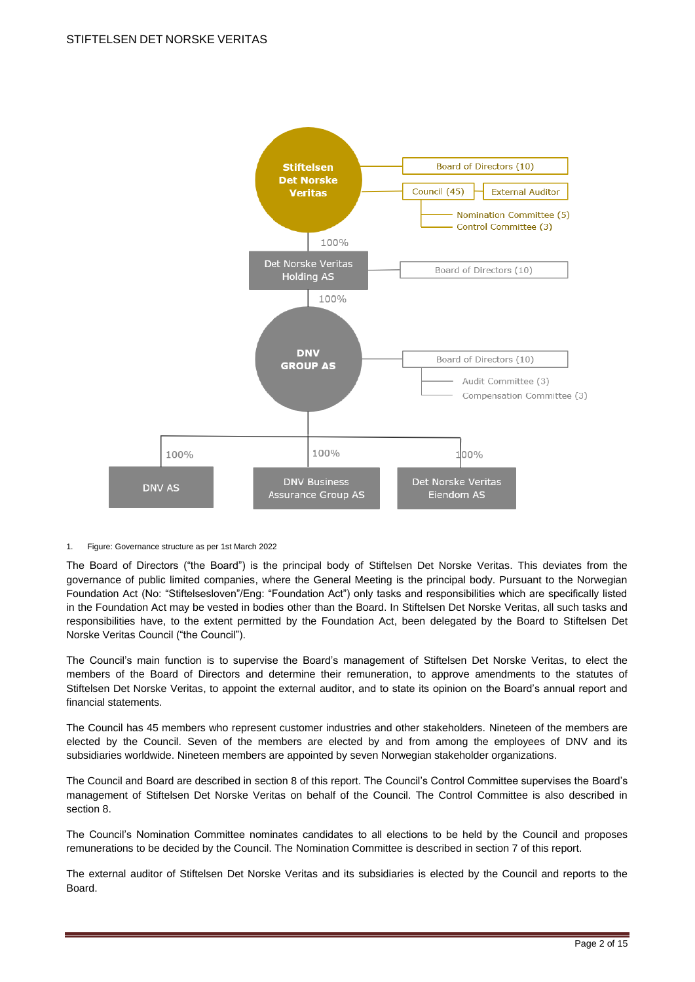

#### 1. Figure: Governance structure as per 1st March 2022

The Board of Directors ("the Board") is the principal body of Stiftelsen Det Norske Veritas. This deviates from the governance of public limited companies, where the General Meeting is the principal body. Pursuant to the Norwegian Foundation Act (No: "Stiftelsesloven"/Eng: "Foundation Act") only tasks and responsibilities which are specifically listed in the Foundation Act may be vested in bodies other than the Board. In Stiftelsen Det Norske Veritas, all such tasks and responsibilities have, to the extent permitted by the Foundation Act, been delegated by the Board to Stiftelsen Det Norske Veritas Council ("the Council").

The Council's main function is to supervise the Board's management of Stiftelsen Det Norske Veritas, to elect the members of the Board of Directors and determine their remuneration, to approve amendments to the statutes of Stiftelsen Det Norske Veritas, to appoint the external auditor, and to state its opinion on the Board's annual report and financial statements.

The Council has 45 members who represent customer industries and other stakeholders. Nineteen of the members are elected by the Council. Seven of the members are elected by and from among the employees of DNV and its subsidiaries worldwide. Nineteen members are appointed by seven Norwegian stakeholder organizations.

The Council and Board are described in section 8 of this report. The Council's Control Committee supervises the Board's management of Stiftelsen Det Norske Veritas on behalf of the Council. The Control Committee is also described in section 8.

The Council's Nomination Committee nominates candidates to all elections to be held by the Council and proposes remunerations to be decided by the Council. The Nomination Committee is described in section 7 of this report.

The external auditor of Stiftelsen Det Norske Veritas and its subsidiaries is elected by the Council and reports to the Board.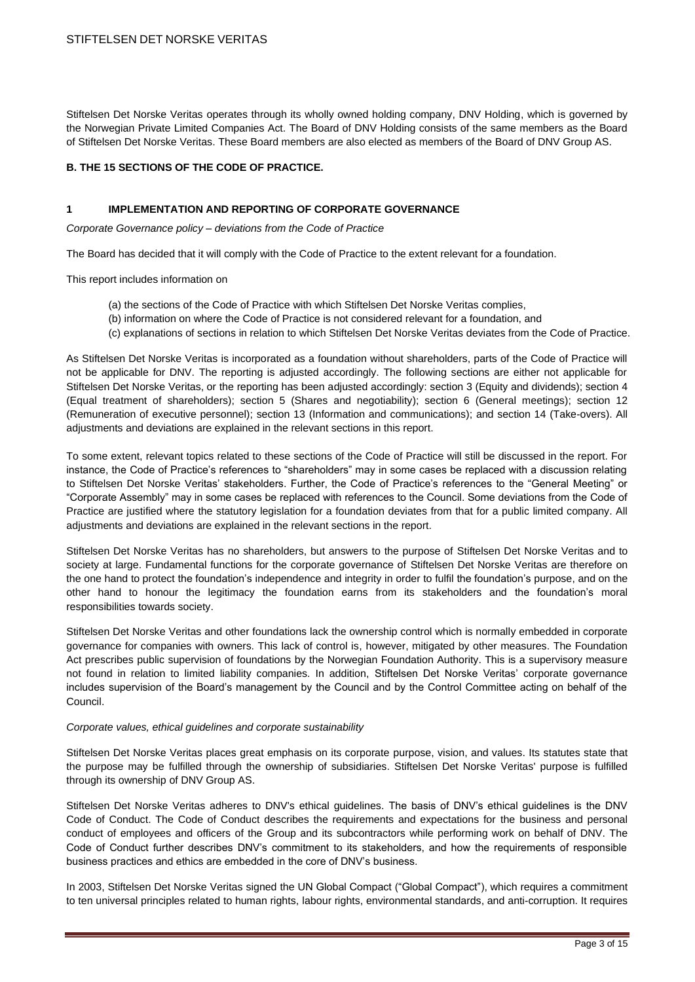Stiftelsen Det Norske Veritas operates through its wholly owned holding company, DNV Holding, which is governed by the Norwegian Private Limited Companies Act. The Board of DNV Holding consists of the same members as the Board of Stiftelsen Det Norske Veritas. These Board members are also elected as members of the Board of DNV Group AS.

# **B. THE 15 SECTIONS OF THE CODE OF PRACTICE.**

### **1 IMPLEMENTATION AND REPORTING OF CORPORATE GOVERNANCE**

*Corporate Governance policy – deviations from the Code of Practice*

The Board has decided that it will comply with the Code of Practice to the extent relevant for a foundation.

This report includes information on

- (a) the sections of the Code of Practice with which Stiftelsen Det Norske Veritas complies,
- (b) information on where the Code of Practice is not considered relevant for a foundation, and
- (c) explanations of sections in relation to which Stiftelsen Det Norske Veritas deviates from the Code of Practice.

As Stiftelsen Det Norske Veritas is incorporated as a foundation without shareholders, parts of the Code of Practice will not be applicable for DNV. The reporting is adjusted accordingly. The following sections are either not applicable for Stiftelsen Det Norske Veritas, or the reporting has been adjusted accordingly: section 3 (Equity and dividends); section 4 (Equal treatment of shareholders); section 5 (Shares and negotiability); section 6 (General meetings); section 12 (Remuneration of executive personnel); section 13 (Information and communications); and section 14 (Take-overs). All adjustments and deviations are explained in the relevant sections in this report.

To some extent, relevant topics related to these sections of the Code of Practice will still be discussed in the report. For instance, the Code of Practice's references to "shareholders" may in some cases be replaced with a discussion relating to Stiftelsen Det Norske Veritas' stakeholders. Further, the Code of Practice's references to the "General Meeting" or "Corporate Assembly" may in some cases be replaced with references to the Council. Some deviations from the Code of Practice are justified where the statutory legislation for a foundation deviates from that for a public limited company. All adjustments and deviations are explained in the relevant sections in the report.

Stiftelsen Det Norske Veritas has no shareholders, but answers to the purpose of Stiftelsen Det Norske Veritas and to society at large. Fundamental functions for the corporate governance of Stiftelsen Det Norske Veritas are therefore on the one hand to protect the foundation's independence and integrity in order to fulfil the foundation's purpose, and on the other hand to honour the legitimacy the foundation earns from its stakeholders and the foundation's moral responsibilities towards society.

Stiftelsen Det Norske Veritas and other foundations lack the ownership control which is normally embedded in corporate governance for companies with owners. This lack of control is, however, mitigated by other measures. The Foundation Act prescribes public supervision of foundations by the Norwegian Foundation Authority. This is a supervisory measure not found in relation to limited liability companies. In addition, Stiftelsen Det Norske Veritas' corporate governance includes supervision of the Board's management by the Council and by the Control Committee acting on behalf of the Council.

#### *Corporate values, ethical guidelines and corporate sustainability*

Stiftelsen Det Norske Veritas places great emphasis on its corporate purpose, vision, and values. Its statutes state that the purpose may be fulfilled through the ownership of subsidiaries. Stiftelsen Det Norske Veritas' purpose is fulfilled through its ownership of DNV Group AS.

Stiftelsen Det Norske Veritas adheres to DNV's ethical guidelines. The basis of DNV's ethical guidelines is the DNV Code of Conduct. The Code of Conduct describes the requirements and expectations for the business and personal conduct of employees and officers of the Group and its subcontractors while performing work on behalf of DNV. The Code of Conduct further describes DNV's commitment to its stakeholders, and how the requirements of responsible business practices and ethics are embedded in the core of DNV's business.

In 2003, Stiftelsen Det Norske Veritas signed the UN Global Compact ("Global Compact"), which requires a commitment to ten universal principles related to human rights, labour rights, environmental standards, and anti-corruption. It requires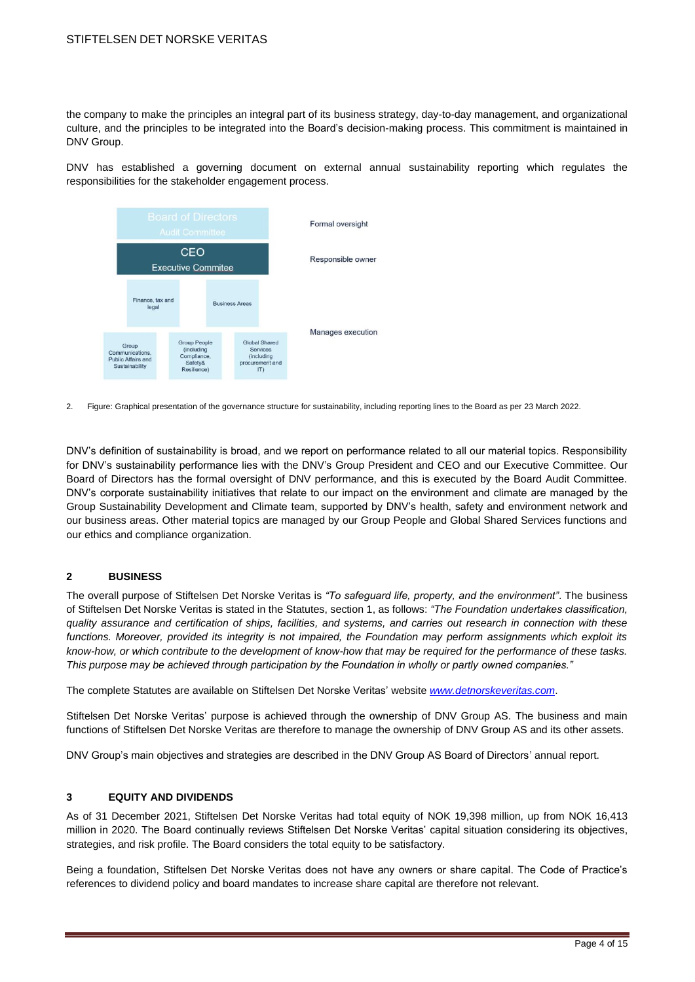the company to make the principles an integral part of its business strategy, day-to-day management, and organizational culture, and the principles to be integrated into the Board's decision-making process. This commitment is maintained in DNV Group.

DNV has established a governing document on external annual sustainability reporting which regulates the responsibilities for the stakeholder engagement process.



2. Figure: Graphical presentation of the governance structure for sustainability, including reporting lines to the Board as per 23 March 2022.

DNV's definition of sustainability is broad, and we report on performance related to all our material topics. Responsibility for DNV's sustainability performance lies with the DNV's Group President and CEO and our Executive Committee. Our Board of Directors has the formal oversight of DNV performance, and this is executed by the Board Audit Committee. DNV's corporate sustainability initiatives that relate to our impact on the environment and climate are managed by the Group Sustainability Development and Climate team, supported by DNV's health, safety and environment network and our business areas. Other material topics are managed by our Group People and Global Shared Services functions and our ethics and compliance organization.

#### **2 BUSINESS**

The overall purpose of Stiftelsen Det Norske Veritas is *"To safeguard life, property, and the environment"*. The business of Stiftelsen Det Norske Veritas is stated in the Statutes, section 1, as follows: *"The Foundation undertakes classification, quality assurance and certification of ships, facilities, and systems, and carries out research in connection with these*  functions. Moreover, provided its integrity is not impaired, the Foundation may perform assignments which exploit its *know-how, or which contribute to the development of know-how that may be required for the performance of these tasks. This purpose may be achieved through participation by the Foundation in wholly or partly owned companies."*

The complete Statutes are available on Stiftelsen Det Norske Veritas' website *[www.detnorskeveritas.com](http://www.detnorskeveritas.com/)*.

Stiftelsen Det Norske Veritas' purpose is achieved through the ownership of DNV Group AS. The business and main functions of Stiftelsen Det Norske Veritas are therefore to manage the ownership of DNV Group AS and its other assets.

DNV Group's main objectives and strategies are described in the DNV Group AS Board of Directors' annual report.

# **3 EQUITY AND DIVIDENDS**

As of 31 December 2021, Stiftelsen Det Norske Veritas had total equity of NOK 19,398 million, up from NOK 16,413 million in 2020. The Board continually reviews Stiftelsen Det Norske Veritas' capital situation considering its objectives, strategies, and risk profile. The Board considers the total equity to be satisfactory.

Being a foundation, Stiftelsen Det Norske Veritas does not have any owners or share capital. The Code of Practice's references to dividend policy and board mandates to increase share capital are therefore not relevant.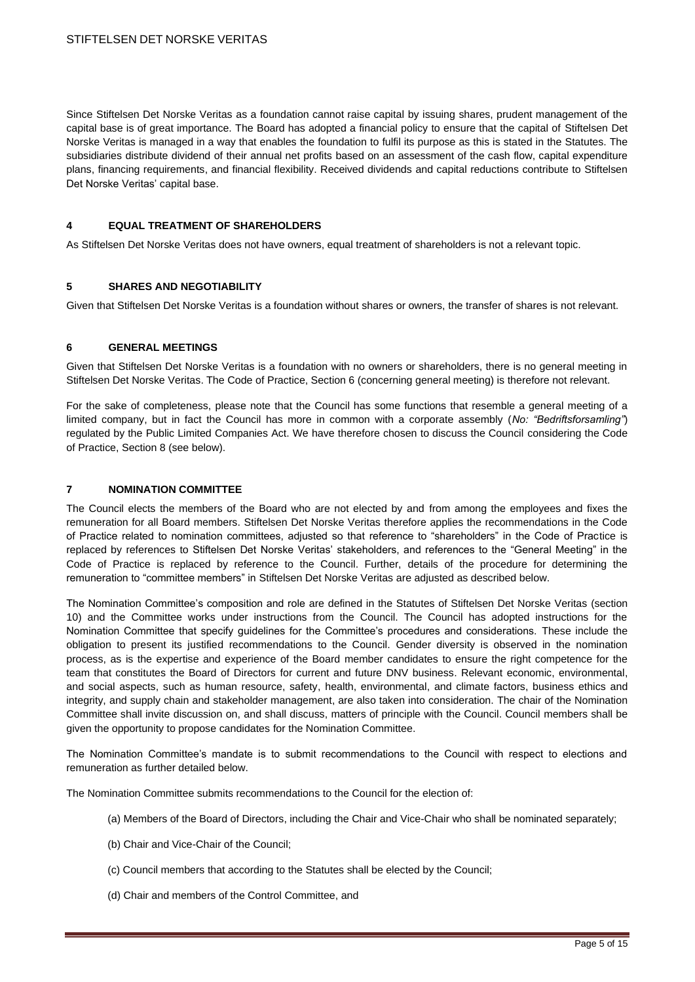Since Stiftelsen Det Norske Veritas as a foundation cannot raise capital by issuing shares, prudent management of the capital base is of great importance. The Board has adopted a financial policy to ensure that the capital of Stiftelsen Det Norske Veritas is managed in a way that enables the foundation to fulfil its purpose as this is stated in the Statutes. The subsidiaries distribute dividend of their annual net profits based on an assessment of the cash flow, capital expenditure plans, financing requirements, and financial flexibility. Received dividends and capital reductions contribute to Stiftelsen Det Norske Veritas' capital base.

# **4 EQUAL TREATMENT OF SHAREHOLDERS**

As Stiftelsen Det Norske Veritas does not have owners, equal treatment of shareholders is not a relevant topic.

# **5 SHARES AND NEGOTIABILITY**

Given that Stiftelsen Det Norske Veritas is a foundation without shares or owners, the transfer of shares is not relevant.

#### **6 GENERAL MEETINGS**

Given that Stiftelsen Det Norske Veritas is a foundation with no owners or shareholders, there is no general meeting in Stiftelsen Det Norske Veritas. The Code of Practice, Section 6 (concerning general meeting) is therefore not relevant.

For the sake of completeness, please note that the Council has some functions that resemble a general meeting of a limited company, but in fact the Council has more in common with a corporate assembly (*No: "Bedriftsforsamling"*) regulated by the Public Limited Companies Act. We have therefore chosen to discuss the Council considering the Code of Practice, Section 8 (see below).

### **7 NOMINATION COMMITTEE**

The Council elects the members of the Board who are not elected by and from among the employees and fixes the remuneration for all Board members. Stiftelsen Det Norske Veritas therefore applies the recommendations in the Code of Practice related to nomination committees, adjusted so that reference to "shareholders" in the Code of Practice is replaced by references to Stiftelsen Det Norske Veritas' stakeholders, and references to the "General Meeting" in the Code of Practice is replaced by reference to the Council. Further, details of the procedure for determining the remuneration to "committee members" in Stiftelsen Det Norske Veritas are adjusted as described below.

The Nomination Committee's composition and role are defined in the Statutes of Stiftelsen Det Norske Veritas (section 10) and the Committee works under instructions from the Council. The Council has adopted instructions for the Nomination Committee that specify guidelines for the Committee's procedures and considerations. These include the obligation to present its justified recommendations to the Council. Gender diversity is observed in the nomination process, as is the expertise and experience of the Board member candidates to ensure the right competence for the team that constitutes the Board of Directors for current and future DNV business. Relevant economic, environmental, and social aspects, such as human resource, safety, health, environmental, and climate factors, business ethics and integrity, and supply chain and stakeholder management, are also taken into consideration. The chair of the Nomination Committee shall invite discussion on, and shall discuss, matters of principle with the Council. Council members shall be given the opportunity to propose candidates for the Nomination Committee.

The Nomination Committee's mandate is to submit recommendations to the Council with respect to elections and remuneration as further detailed below.

The Nomination Committee submits recommendations to the Council for the election of:

- (a) Members of the Board of Directors, including the Chair and Vice-Chair who shall be nominated separately;
- (b) Chair and Vice-Chair of the Council;
- (c) Council members that according to the Statutes shall be elected by the Council;
- (d) Chair and members of the Control Committee, and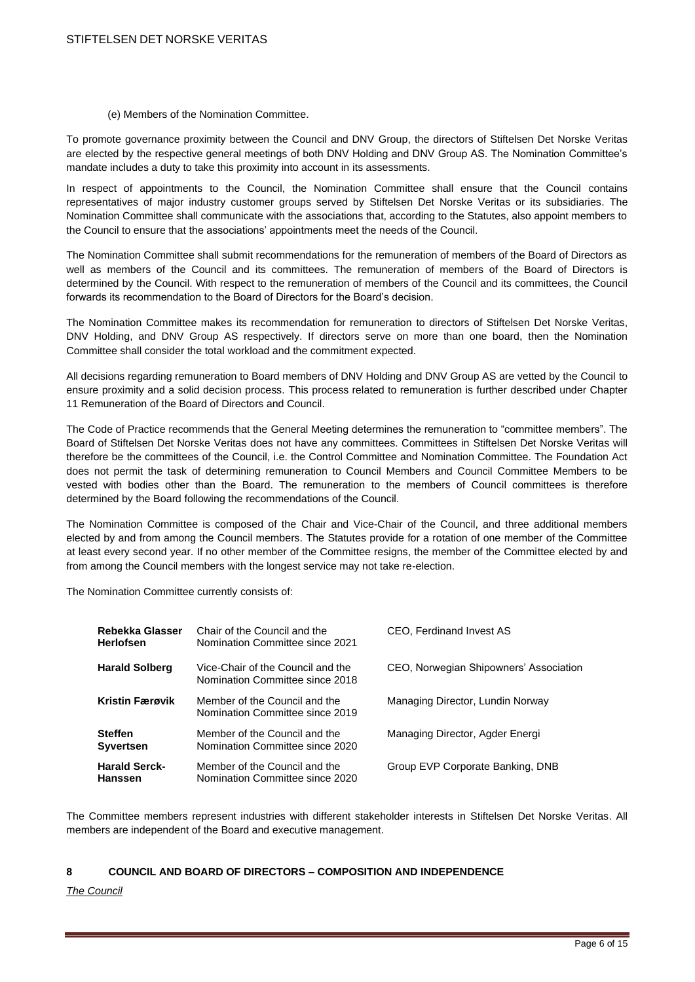(e) Members of the Nomination Committee.

To promote governance proximity between the Council and DNV Group, the directors of Stiftelsen Det Norske Veritas are elected by the respective general meetings of both DNV Holding and DNV Group AS. The Nomination Committee's mandate includes a duty to take this proximity into account in its assessments.

In respect of appointments to the Council, the Nomination Committee shall ensure that the Council contains representatives of major industry customer groups served by Stiftelsen Det Norske Veritas or its subsidiaries. The Nomination Committee shall communicate with the associations that, according to the Statutes, also appoint members to the Council to ensure that the associations' appointments meet the needs of the Council.

The Nomination Committee shall submit recommendations for the remuneration of members of the Board of Directors as well as members of the Council and its committees. The remuneration of members of the Board of Directors is determined by the Council. With respect to the remuneration of members of the Council and its committees, the Council forwards its recommendation to the Board of Directors for the Board's decision.

The Nomination Committee makes its recommendation for remuneration to directors of Stiftelsen Det Norske Veritas, DNV Holding, and DNV Group AS respectively. If directors serve on more than one board, then the Nomination Committee shall consider the total workload and the commitment expected.

All decisions regarding remuneration to Board members of DNV Holding and DNV Group AS are vetted by the Council to ensure proximity and a solid decision process. This process related to remuneration is further described under Chapter 11 Remuneration of the Board of Directors and Council.

The Code of Practice recommends that the General Meeting determines the remuneration to "committee members". The Board of Stiftelsen Det Norske Veritas does not have any committees. Committees in Stiftelsen Det Norske Veritas will therefore be the committees of the Council, i.e. the Control Committee and Nomination Committee. The Foundation Act does not permit the task of determining remuneration to Council Members and Council Committee Members to be vested with bodies other than the Board. The remuneration to the members of Council committees is therefore determined by the Board following the recommendations of the Council.

The Nomination Committee is composed of the Chair and Vice-Chair of the Council, and three additional members elected by and from among the Council members. The Statutes provide for a rotation of one member of the Committee at least every second year. If no other member of the Committee resigns, the member of the Committee elected by and from among the Council members with the longest service may not take re-election.

The Nomination Committee currently consists of:

| Rebekka Glasser<br><b>Herlofsen</b>    | Chair of the Council and the<br>Nomination Committee since 2021      | CEO, Ferdinand Invest AS               |
|----------------------------------------|----------------------------------------------------------------------|----------------------------------------|
| <b>Harald Solberg</b>                  | Vice-Chair of the Council and the<br>Nomination Committee since 2018 | CEO, Norwegian Shipowners' Association |
| <b>Kristin Færøvik</b>                 | Member of the Council and the<br>Nomination Committee since 2019     | Managing Director, Lundin Norway       |
| <b>Steffen</b><br><b>Syvertsen</b>     | Member of the Council and the<br>Nomination Committee since 2020     | Managing Director, Agder Energi        |
| <b>Harald Serck-</b><br><b>Hanssen</b> | Member of the Council and the<br>Nomination Committee since 2020     | Group EVP Corporate Banking, DNB       |

The Committee members represent industries with different stakeholder interests in Stiftelsen Det Norske Veritas. All members are independent of the Board and executive management.

#### **8 COUNCIL AND BOARD OF DIRECTORS – COMPOSITION AND INDEPENDENCE**

*The Council*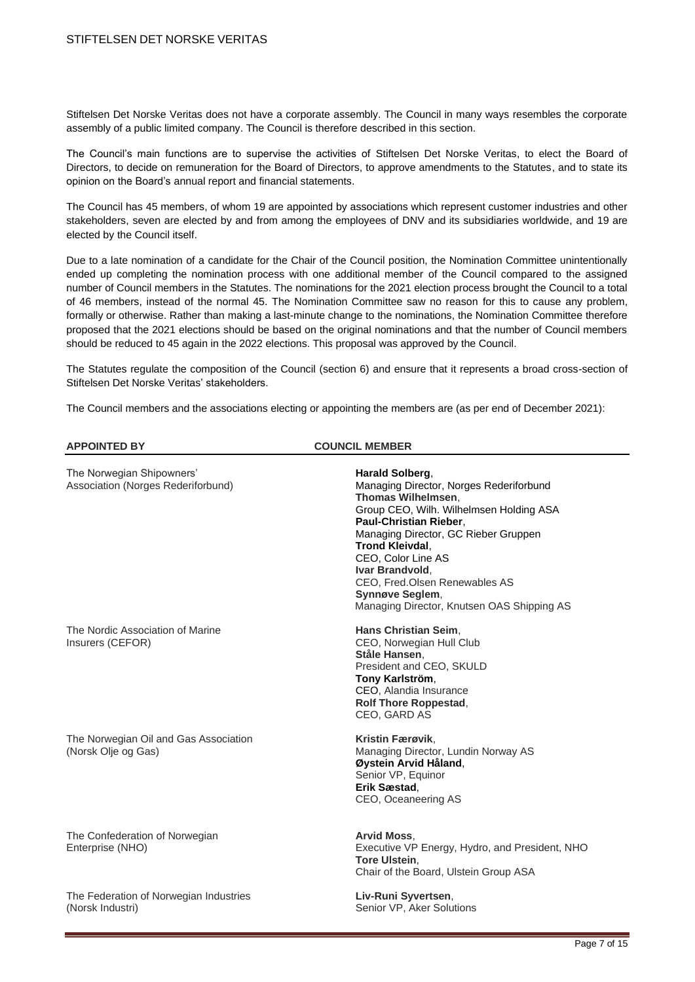Stiftelsen Det Norske Veritas does not have a corporate assembly. The Council in many ways resembles the corporate assembly of a public limited company. The Council is therefore described in this section.

The Council's main functions are to supervise the activities of Stiftelsen Det Norske Veritas, to elect the Board of Directors, to decide on remuneration for the Board of Directors, to approve amendments to the Statutes, and to state its opinion on the Board's annual report and financial statements.

The Council has 45 members, of whom 19 are appointed by associations which represent customer industries and other stakeholders, seven are elected by and from among the employees of DNV and its subsidiaries worldwide, and 19 are elected by the Council itself.

Due to a late nomination of a candidate for the Chair of the Council position, the Nomination Committee unintentionally ended up completing the nomination process with one additional member of the Council compared to the assigned number of Council members in the Statutes. The nominations for the 2021 election process brought the Council to a total of 46 members, instead of the normal 45. The Nomination Committee saw no reason for this to cause any problem, formally or otherwise. Rather than making a last-minute change to the nominations, the Nomination Committee therefore proposed that the 2021 elections should be based on the original nominations and that the number of Council members should be reduced to 45 again in the 2022 elections. This proposal was approved by the Council.

The Statutes regulate the composition of the Council (section 6) and ensure that it represents a broad cross-section of Stiftelsen Det Norske Veritas' stakeholders.

The Council members and the associations electing or appointing the members are (as per end of December 2021):

| <b>APPOINTED BY</b>                                             | <b>COUNCIL MEMBER</b>                                                                                                                                                                                                                                                                                                                                                     |  |
|-----------------------------------------------------------------|---------------------------------------------------------------------------------------------------------------------------------------------------------------------------------------------------------------------------------------------------------------------------------------------------------------------------------------------------------------------------|--|
| The Norwegian Shipowners'<br>Association (Norges Rederiforbund) | Harald Solberg,<br>Managing Director, Norges Rederiforbund<br>Thomas Wilhelmsen,<br>Group CEO, Wilh. Wilhelmsen Holding ASA<br>Paul-Christian Rieber,<br>Managing Director, GC Rieber Gruppen<br><b>Trond Kleivdal,</b><br>CEO, Color Line AS<br>Ivar Brandvold,<br>CEO, Fred.Olsen Renewables AS<br><b>Synnøve Seglem.</b><br>Managing Director, Knutsen OAS Shipping AS |  |
| The Nordic Association of Marine<br>Insurers (CEFOR)            | Hans Christian Seim,<br>CEO, Norwegian Hull Club<br>Ståle Hansen,<br>President and CEO, SKULD<br>Tony Karlström,<br>CEO, Alandia Insurance<br><b>Rolf Thore Roppestad,</b><br>CEO, GARD AS                                                                                                                                                                                |  |
| The Norwegian Oil and Gas Association<br>(Norsk Olje og Gas)    | Kristin Færøvik,<br>Managing Director, Lundin Norway AS<br>Øystein Arvid Håland,<br>Senior VP, Equinor<br>Erik Sæstad,<br>CEO, Oceaneering AS                                                                                                                                                                                                                             |  |
| The Confederation of Norwegian<br>Enterprise (NHO)              | Arvid Moss,<br>Executive VP Energy, Hydro, and President, NHO<br><b>Tore Ulstein.</b><br>Chair of the Board, Ulstein Group ASA                                                                                                                                                                                                                                            |  |
| The Federation of Norwegian Industries<br>(Norsk Industri)      | Liv-Runi Syvertsen,<br>Senior VP, Aker Solutions                                                                                                                                                                                                                                                                                                                          |  |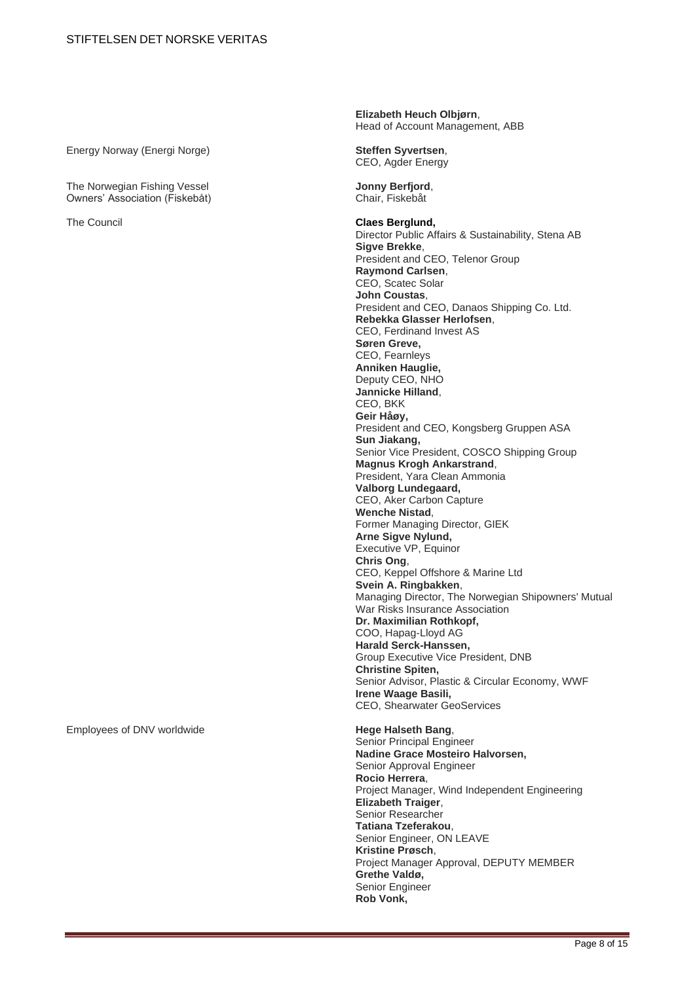Energy Norway (Energi Norge) **Steffen Syvertsen**,

The Norwegian Fishing Vessel **Jonny Berfjord**, **Jonny Berfjord**, **Owners' Association (Fiskebåt) Jonny Berfjord**, Owners' Association (Fiskebåt)

Employees of DNV worldwide **Hege Halseth Bang**,

**Elizabeth Heuch Olbjørn**, Head of Account Management, ABB

CEO, Agder Energy

The Council **Claes Berglund,** Director Public Affairs & Sustainability, Stena AB **Sigve Brekke**, President and CEO, Telenor Group **Raymond Carlsen**, CEO, Scatec Solar **John Coustas**, President and CEO, Danaos Shipping Co. Ltd. **Rebekka Glasser Herlofsen**, CEO, Ferdinand Invest AS **Søren Greve,** CEO, Fearnleys **Anniken Hauglie,** Deputy CEO, NHO **Jannicke Hilland**, CEO, BKK **Geir Håøy,**  President and CEO, Kongsberg Gruppen ASA **Sun Jiakang,**  Senior Vice President, COSCO Shipping Group **Magnus Krogh Ankarstrand**, President, Yara Clean Ammonia **Valborg Lundegaard,** CEO, Aker Carbon Capture **Wenche Nistad**, Former Managing Director, GIEK **Arne Sigve Nylund,** Executive VP, Equinor **Chris Ong**, CEO, Keppel Offshore & Marine Ltd **Svein A. Ringbakken**, Managing Director, The Norwegian Shipowners' Mutual War Risks Insurance Association **Dr. Maximilian Rothkopf,** COO, Hapag-Lloyd AG **Harald Serck-Hanssen,**  Group Executive Vice President, DNB **Christine Spiten,**  Senior Advisor, Plastic & Circular Economy, WWF **Irene Waage Basili,** CEO, Shearwater GeoServices

> Senior Principal Engineer **Nadine Grace Mosteiro Halvorsen,** Senior Approval Engineer **Rocio Herrera**, Project Manager, Wind Independent Engineering **Elizabeth Traiger**, Senior Researcher **Tatiana Tzeferakou**, Senior Engineer, ON LEAVE **Kristine Prøsch**, Project Manager Approval, DEPUTY MEMBER **Grethe Valdø,** Senior Engineer **Rob Vonk,**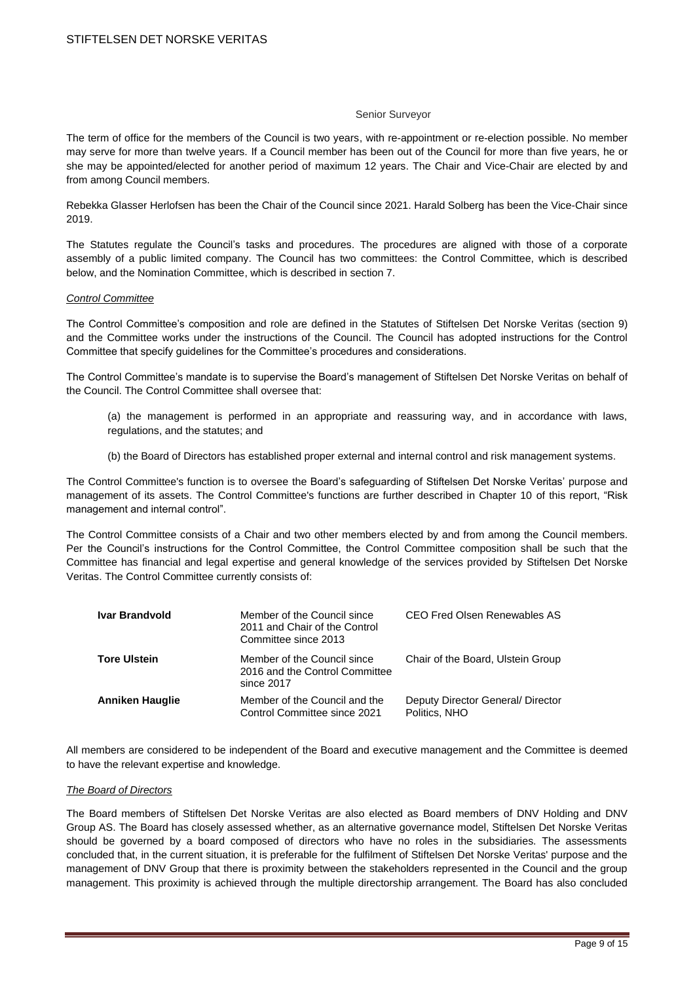#### Senior Surveyor

The term of office for the members of the Council is two years, with re-appointment or re-election possible. No member may serve for more than twelve years. If a Council member has been out of the Council for more than five years, he or she may be appointed/elected for another period of maximum 12 years. The Chair and Vice-Chair are elected by and from among Council members.

Rebekka Glasser Herlofsen has been the Chair of the Council since 2021. Harald Solberg has been the Vice-Chair since 2019.

The Statutes regulate the Council's tasks and procedures. The procedures are aligned with those of a corporate assembly of a public limited company. The Council has two committees: the Control Committee, which is described below, and the Nomination Committee, which is described in section 7.

#### *Control Committee*

The Control Committee's composition and role are defined in the Statutes of Stiftelsen Det Norske Veritas (section 9) and the Committee works under the instructions of the Council. The Council has adopted instructions for the Control Committee that specify guidelines for the Committee's procedures and considerations.

The Control Committee's mandate is to supervise the Board's management of Stiftelsen Det Norske Veritas on behalf of the Council. The Control Committee shall oversee that:

- (a) the management is performed in an appropriate and reassuring way, and in accordance with laws, regulations, and the statutes; and
- (b) the Board of Directors has established proper external and internal control and risk management systems.

The Control Committee's function is to oversee the Board's safeguarding of Stiftelsen Det Norske Veritas' purpose and management of its assets. The Control Committee's functions are further described in Chapter 10 of this report, "Risk management and internal control".

The Control Committee consists of a Chair and two other members elected by and from among the Council members. Per the Council's instructions for the Control Committee, the Control Committee composition shall be such that the Committee has financial and legal expertise and general knowledge of the services provided by Stiftelsen Det Norske Veritas. The Control Committee currently consists of:

| <b>Ivar Brandvold</b>  | Member of the Council since<br>2011 and Chair of the Control<br>Committee since 2013 | CEO Fred Olsen Renewables AS                       |
|------------------------|--------------------------------------------------------------------------------------|----------------------------------------------------|
| <b>Tore Ulstein</b>    | Member of the Council since<br>2016 and the Control Committee<br>since 2017          | Chair of the Board, Ulstein Group                  |
| <b>Anniken Hauglie</b> | Member of the Council and the<br>Control Committee since 2021                        | Deputy Director General/ Director<br>Politics, NHO |

All members are considered to be independent of the Board and executive management and the Committee is deemed to have the relevant expertise and knowledge.

# *The Board of Directors*

The Board members of Stiftelsen Det Norske Veritas are also elected as Board members of DNV Holding and DNV Group AS. The Board has closely assessed whether, as an alternative governance model, Stiftelsen Det Norske Veritas should be governed by a board composed of directors who have no roles in the subsidiaries. The assessments concluded that, in the current situation, it is preferable for the fulfilment of Stiftelsen Det Norske Veritas' purpose and the management of DNV Group that there is proximity between the stakeholders represented in the Council and the group management. This proximity is achieved through the multiple directorship arrangement. The Board has also concluded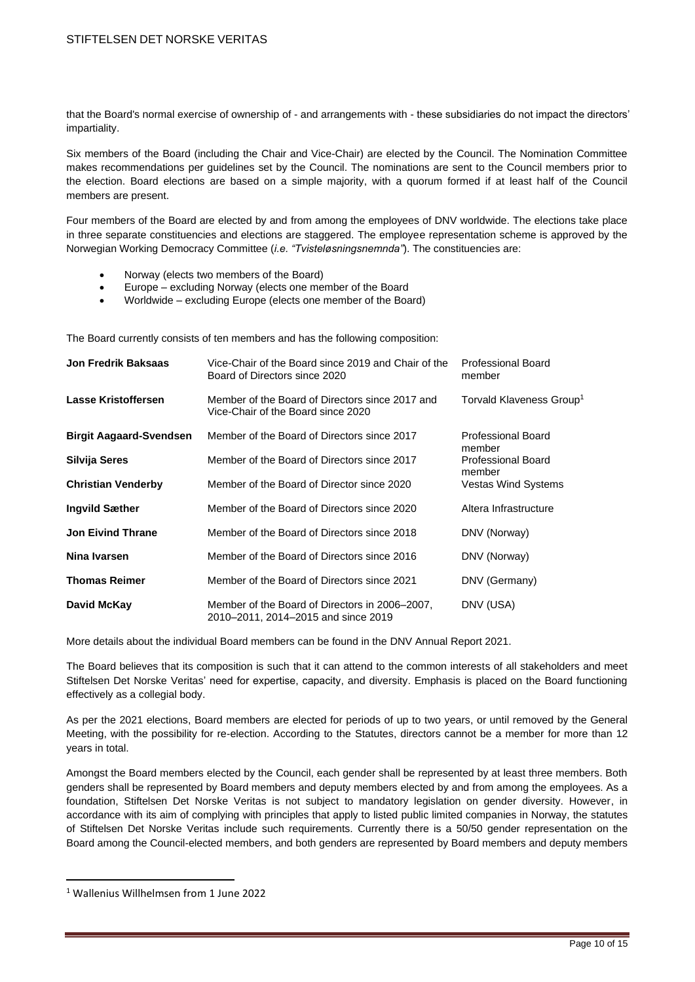that the Board's normal exercise of ownership of - and arrangements with - these subsidiaries do not impact the directors' impartiality.

Six members of the Board (including the Chair and Vice-Chair) are elected by the Council. The Nomination Committee makes recommendations per guidelines set by the Council. The nominations are sent to the Council members prior to the election. Board elections are based on a simple majority, with a quorum formed if at least half of the Council members are present.

Four members of the Board are elected by and from among the employees of DNV worldwide. The elections take place in three separate constituencies and elections are staggered. The employee representation scheme is approved by the Norwegian Working Democracy Committee (*i.e. "Tvisteløsningsnemnda"*). The constituencies are:

- Norway (elects two members of the Board)
- Europe excluding Norway (elects one member of the Board
- Worldwide excluding Europe (elects one member of the Board)

The Board currently consists of ten members and has the following composition:

| Jon Fredrik Baksaas            | Vice-Chair of the Board since 2019 and Chair of the<br>Board of Directors since 2020  | <b>Professional Board</b><br>member  |
|--------------------------------|---------------------------------------------------------------------------------------|--------------------------------------|
| Lasse Kristoffersen            | Member of the Board of Directors since 2017 and<br>Vice-Chair of the Board since 2020 | Torvald Klaveness Group <sup>1</sup> |
| <b>Birgit Aagaard-Svendsen</b> | Member of the Board of Directors since 2017                                           | Professional Board<br>member         |
| Silvija Seres                  | Member of the Board of Directors since 2017                                           | Professional Board<br>member         |
| <b>Christian Venderby</b>      | Member of the Board of Director since 2020                                            | Vestas Wind Systems                  |
| Ingvild Sæther                 | Member of the Board of Directors since 2020                                           | Altera Infrastructure                |
| <b>Jon Eivind Thrane</b>       | Member of the Board of Directors since 2018                                           | DNV (Norway)                         |
| Nina Ivarsen                   | Member of the Board of Directors since 2016                                           | DNV (Norway)                         |
| <b>Thomas Reimer</b>           | Member of the Board of Directors since 2021                                           | DNV (Germany)                        |
| David McKay                    | Member of the Board of Directors in 2006–2007,<br>2010–2011, 2014–2015 and since 2019 | DNV (USA)                            |

More details about the individual Board members can be found in the DNV Annual Report 2021.

The Board believes that its composition is such that it can attend to the common interests of all stakeholders and meet Stiftelsen Det Norske Veritas' need for expertise, capacity, and diversity. Emphasis is placed on the Board functioning effectively as a collegial body.

As per the 2021 elections, Board members are elected for periods of up to two years, or until removed by the General Meeting, with the possibility for re-election. According to the Statutes, directors cannot be a member for more than 12 years in total.

Amongst the Board members elected by the Council, each gender shall be represented by at least three members. Both genders shall be represented by Board members and deputy members elected by and from among the employees. As a foundation, Stiftelsen Det Norske Veritas is not subject to mandatory legislation on gender diversity. However, in accordance with its aim of complying with principles that apply to listed public limited companies in Norway, the statutes of Stiftelsen Det Norske Veritas include such requirements. Currently there is a 50/50 gender representation on the Board among the Council-elected members, and both genders are represented by Board members and deputy members

<sup>1</sup> Wallenius Willhelmsen from 1 June 2022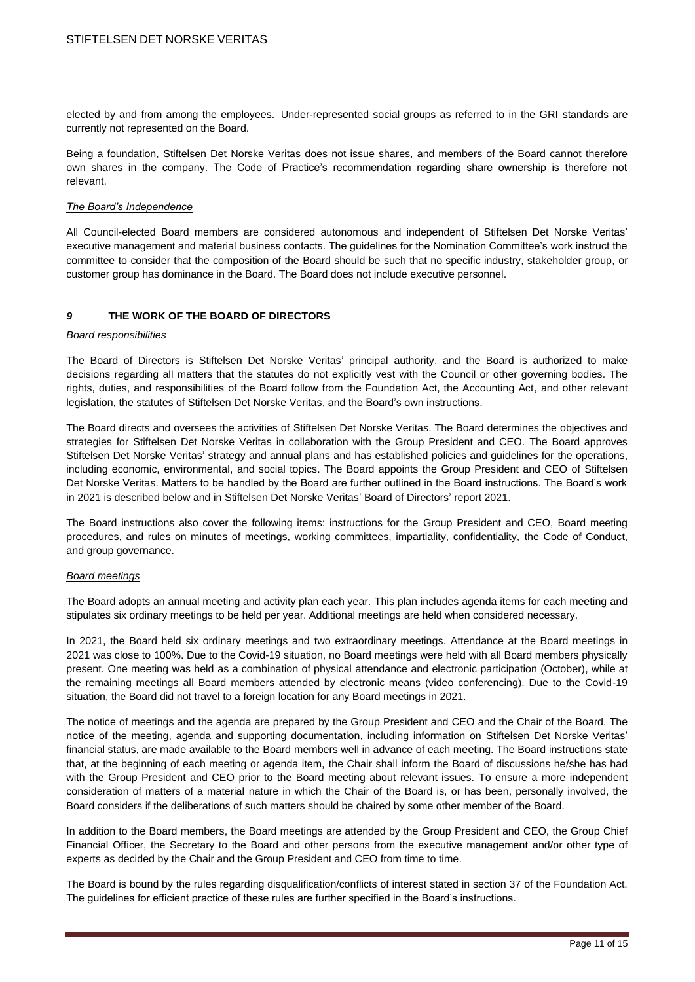elected by and from among the employees. Under-represented social groups as referred to in the GRI standards are currently not represented on the Board.

Being a foundation, Stiftelsen Det Norske Veritas does not issue shares, and members of the Board cannot therefore own shares in the company. The Code of Practice's recommendation regarding share ownership is therefore not relevant.

#### *The Board's Independence*

All Council-elected Board members are considered autonomous and independent of Stiftelsen Det Norske Veritas' executive management and material business contacts. The guidelines for the Nomination Committee's work instruct the committee to consider that the composition of the Board should be such that no specific industry, stakeholder group, or customer group has dominance in the Board. The Board does not include executive personnel.

# *9* **THE WORK OF THE BOARD OF DIRECTORS**

#### *Board responsibilities*

The Board of Directors is Stiftelsen Det Norske Veritas' principal authority, and the Board is authorized to make decisions regarding all matters that the statutes do not explicitly vest with the Council or other governing bodies. The rights, duties, and responsibilities of the Board follow from the Foundation Act, the Accounting Act, and other relevant legislation, the statutes of Stiftelsen Det Norske Veritas, and the Board's own instructions.

The Board directs and oversees the activities of Stiftelsen Det Norske Veritas. The Board determines the objectives and strategies for Stiftelsen Det Norske Veritas in collaboration with the Group President and CEO. The Board approves Stiftelsen Det Norske Veritas' strategy and annual plans and has established policies and guidelines for the operations, including economic, environmental, and social topics. The Board appoints the Group President and CEO of Stiftelsen Det Norske Veritas. Matters to be handled by the Board are further outlined in the Board instructions. The Board's work in 2021 is described below and in Stiftelsen Det Norske Veritas' Board of Directors' report 2021.

The Board instructions also cover the following items: instructions for the Group President and CEO, Board meeting procedures, and rules on minutes of meetings, working committees, impartiality, confidentiality, the Code of Conduct, and group governance.

#### *Board meetings*

The Board adopts an annual meeting and activity plan each year. This plan includes agenda items for each meeting and stipulates six ordinary meetings to be held per year. Additional meetings are held when considered necessary.

In 2021, the Board held six ordinary meetings and two extraordinary meetings. Attendance at the Board meetings in 2021 was close to 100%. Due to the Covid-19 situation, no Board meetings were held with all Board members physically present. One meeting was held as a combination of physical attendance and electronic participation (October), while at the remaining meetings all Board members attended by electronic means (video conferencing). Due to the Covid-19 situation, the Board did not travel to a foreign location for any Board meetings in 2021.

The notice of meetings and the agenda are prepared by the Group President and CEO and the Chair of the Board. The notice of the meeting, agenda and supporting documentation, including information on Stiftelsen Det Norske Veritas' financial status, are made available to the Board members well in advance of each meeting. The Board instructions state that, at the beginning of each meeting or agenda item, the Chair shall inform the Board of discussions he/she has had with the Group President and CEO prior to the Board meeting about relevant issues. To ensure a more independent consideration of matters of a material nature in which the Chair of the Board is, or has been, personally involved, the Board considers if the deliberations of such matters should be chaired by some other member of the Board.

In addition to the Board members, the Board meetings are attended by the Group President and CEO, the Group Chief Financial Officer, the Secretary to the Board and other persons from the executive management and/or other type of experts as decided by the Chair and the Group President and CEO from time to time.

The Board is bound by the rules regarding disqualification/conflicts of interest stated in section 37 of the Foundation Act. The guidelines for efficient practice of these rules are further specified in the Board's instructions.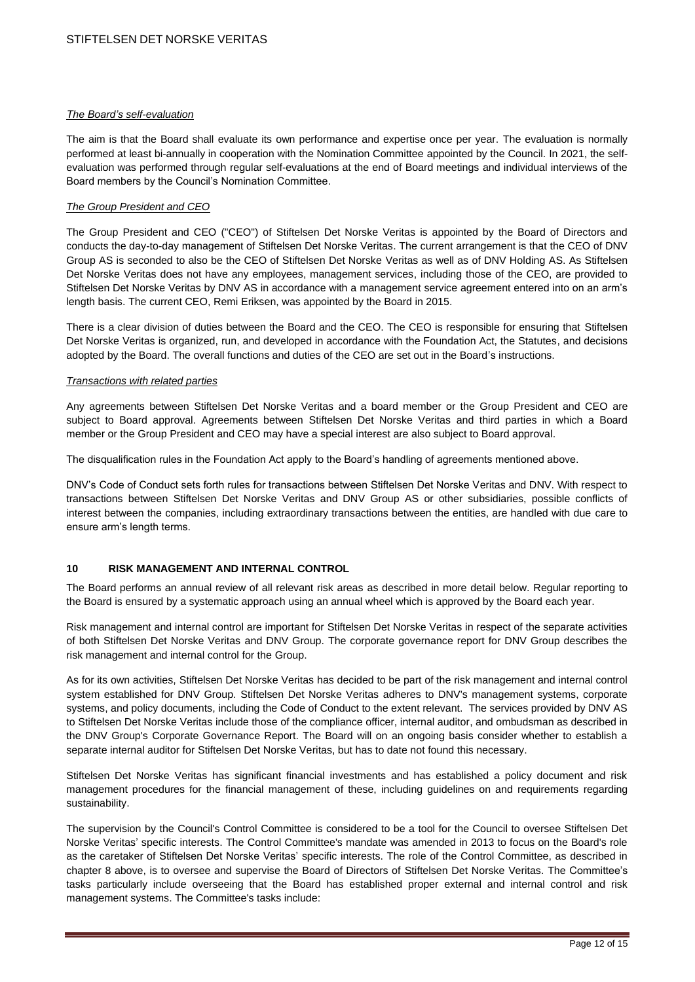## *The Board's self-evaluation*

The aim is that the Board shall evaluate its own performance and expertise once per year. The evaluation is normally performed at least bi-annually in cooperation with the Nomination Committee appointed by the Council. In 2021, the selfevaluation was performed through regular self-evaluations at the end of Board meetings and individual interviews of the Board members by the Council's Nomination Committee.

# *The Group President and CEO*

The Group President and CEO ("CEO") of Stiftelsen Det Norske Veritas is appointed by the Board of Directors and conducts the day-to-day management of Stiftelsen Det Norske Veritas. The current arrangement is that the CEO of DNV Group AS is seconded to also be the CEO of Stiftelsen Det Norske Veritas as well as of DNV Holding AS. As Stiftelsen Det Norske Veritas does not have any employees, management services, including those of the CEO, are provided to Stiftelsen Det Norske Veritas by DNV AS in accordance with a management service agreement entered into on an arm's length basis. The current CEO, Remi Eriksen, was appointed by the Board in 2015.

There is a clear division of duties between the Board and the CEO. The CEO is responsible for ensuring that Stiftelsen Det Norske Veritas is organized, run, and developed in accordance with the Foundation Act, the Statutes, and decisions adopted by the Board. The overall functions and duties of the CEO are set out in the Board's instructions.

### *Transactions with related parties*

Any agreements between Stiftelsen Det Norske Veritas and a board member or the Group President and CEO are subject to Board approval. Agreements between Stiftelsen Det Norske Veritas and third parties in which a Board member or the Group President and CEO may have a special interest are also subject to Board approval.

The disqualification rules in the Foundation Act apply to the Board's handling of agreements mentioned above.

DNV's Code of Conduct sets forth rules for transactions between Stiftelsen Det Norske Veritas and DNV. With respect to transactions between Stiftelsen Det Norske Veritas and DNV Group AS or other subsidiaries, possible conflicts of interest between the companies, including extraordinary transactions between the entities, are handled with due care to ensure arm's length terms.

# **10 RISK MANAGEMENT AND INTERNAL CONTROL**

The Board performs an annual review of all relevant risk areas as described in more detail below. Regular reporting to the Board is ensured by a systematic approach using an annual wheel which is approved by the Board each year.

Risk management and internal control are important for Stiftelsen Det Norske Veritas in respect of the separate activities of both Stiftelsen Det Norske Veritas and DNV Group. The corporate governance report for DNV Group describes the risk management and internal control for the Group.

As for its own activities, Stiftelsen Det Norske Veritas has decided to be part of the risk management and internal control system established for DNV Group. Stiftelsen Det Norske Veritas adheres to DNV's management systems, corporate systems, and policy documents, including the Code of Conduct to the extent relevant. The services provided by DNV AS to Stiftelsen Det Norske Veritas include those of the compliance officer, internal auditor, and ombudsman as described in the DNV Group's Corporate Governance Report. The Board will on an ongoing basis consider whether to establish a separate internal auditor for Stiftelsen Det Norske Veritas, but has to date not found this necessary.

Stiftelsen Det Norske Veritas has significant financial investments and has established a policy document and risk management procedures for the financial management of these, including guidelines on and requirements regarding sustainability.

The supervision by the Council's Control Committee is considered to be a tool for the Council to oversee Stiftelsen Det Norske Veritas' specific interests. The Control Committee's mandate was amended in 2013 to focus on the Board's role as the caretaker of Stiftelsen Det Norske Veritas' specific interests. The role of the Control Committee, as described in chapter 8 above, is to oversee and supervise the Board of Directors of Stiftelsen Det Norske Veritas. The Committee's tasks particularly include overseeing that the Board has established proper external and internal control and risk management systems. The Committee's tasks include: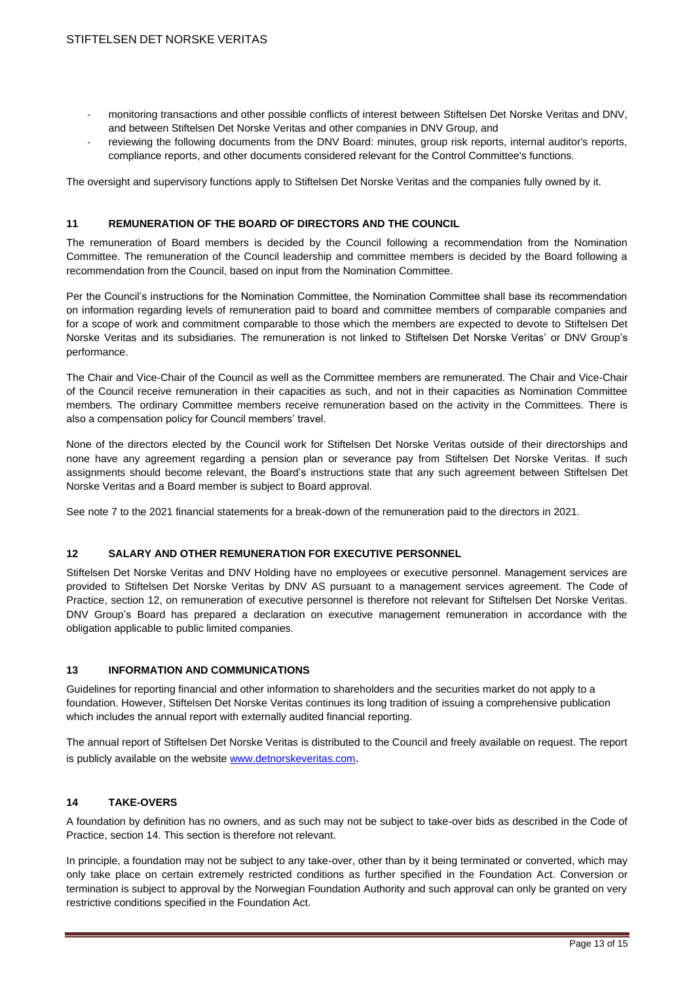- monitoring transactions and other possible conflicts of interest between Stiftelsen Det Norske Veritas and DNV, and between Stiftelsen Det Norske Veritas and other companies in DNV Group, and
- reviewing the following documents from the DNV Board: minutes, group risk reports, internal auditor's reports, compliance reports, and other documents considered relevant for the Control Committee's functions.

The oversight and supervisory functions apply to Stiftelsen Det Norske Veritas and the companies fully owned by it.

# **11 REMUNERATION OF THE BOARD OF DIRECTORS AND THE COUNCIL**

The remuneration of Board members is decided by the Council following a recommendation from the Nomination Committee. The remuneration of the Council leadership and committee members is decided by the Board following a recommendation from the Council, based on input from the Nomination Committee.

Per the Council's instructions for the Nomination Committee, the Nomination Committee shall base its recommendation on information regarding levels of remuneration paid to board and committee members of comparable companies and for a scope of work and commitment comparable to those which the members are expected to devote to Stiftelsen Det Norske Veritas and its subsidiaries. The remuneration is not linked to Stiftelsen Det Norske Veritas' or DNV Group's performance.

The Chair and Vice-Chair of the Council as well as the Committee members are remunerated. The Chair and Vice-Chair of the Council receive remuneration in their capacities as such, and not in their capacities as Nomination Committee members. The ordinary Committee members receive remuneration based on the activity in the Committees. There is also a compensation policy for Council members' travel.

None of the directors elected by the Council work for Stiftelsen Det Norske Veritas outside of their directorships and none have any agreement regarding a pension plan or severance pay from Stiftelsen Det Norske Veritas. If such assignments should become relevant, the Board's instructions state that any such agreement between Stiftelsen Det Norske Veritas and a Board member is subject to Board approval.

See note 7 to the 2021 financial statements for a break-down of the remuneration paid to the directors in 2021.

#### **12 SALARY AND OTHER REMUNERATION FOR EXECUTIVE PERSONNEL**

Stiftelsen Det Norske Veritas and DNV Holding have no employees or executive personnel. Management services are provided to Stiftelsen Det Norske Veritas by DNV AS pursuant to a management services agreement. The Code of Practice, section 12, on remuneration of executive personnel is therefore not relevant for Stiftelsen Det Norske Veritas. DNV Group's Board has prepared a declaration on executive management remuneration in accordance with the obligation applicable to public limited companies.

#### **13 INFORMATION AND COMMUNICATIONS**

Guidelines for reporting financial and other information to shareholders and the securities market do not apply to a foundation. However, Stiftelsen Det Norske Veritas continues its long tradition of issuing a comprehensive publication which includes the annual report with externally audited financial reporting.

The annual report of Stiftelsen Det Norske Veritas is distributed to the Council and freely available on request. The report is publicly available on the website [www.detnorskeveritas.com](http://www.detnorskeveritas.com/).

# **14 TAKE-OVERS**

A foundation by definition has no owners, and as such may not be subject to take-over bids as described in the Code of Practice, section 14. This section is therefore not relevant.

In principle, a foundation may not be subject to any take-over, other than by it being terminated or converted, which may only take place on certain extremely restricted conditions as further specified in the Foundation Act. Conversion or termination is subject to approval by the Norwegian Foundation Authority and such approval can only be granted on very restrictive conditions specified in the Foundation Act.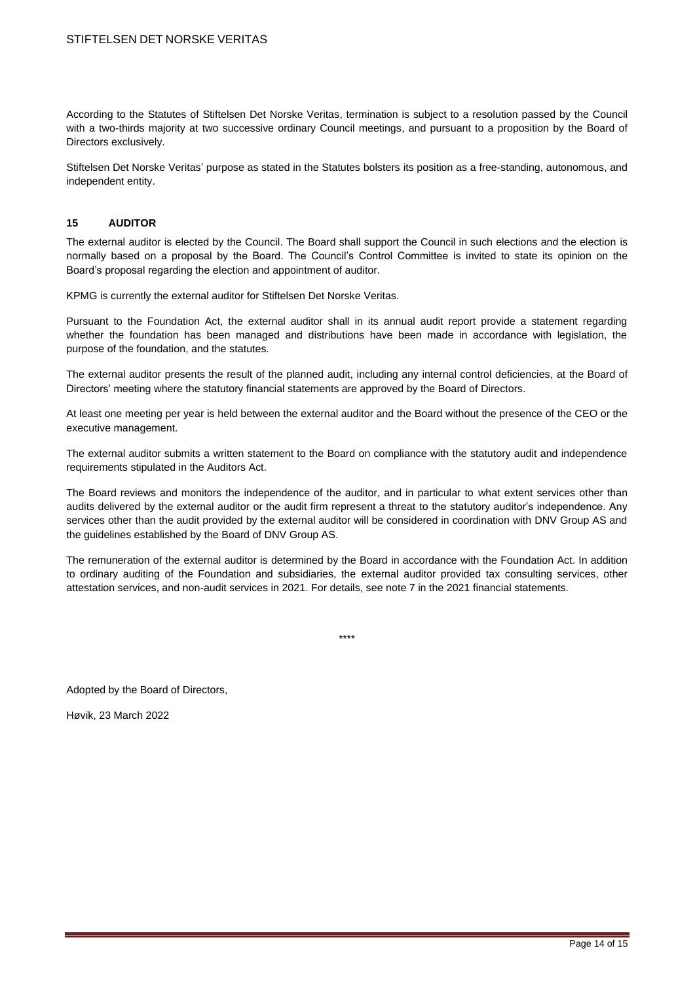According to the Statutes of Stiftelsen Det Norske Veritas, termination is subject to a resolution passed by the Council with a two-thirds majority at two successive ordinary Council meetings, and pursuant to a proposition by the Board of Directors exclusively.

Stiftelsen Det Norske Veritas' purpose as stated in the Statutes bolsters its position as a free-standing, autonomous, and independent entity.

### **15 AUDITOR**

The external auditor is elected by the Council. The Board shall support the Council in such elections and the election is normally based on a proposal by the Board. The Council's Control Committee is invited to state its opinion on the Board's proposal regarding the election and appointment of auditor.

KPMG is currently the external auditor for Stiftelsen Det Norske Veritas.

Pursuant to the Foundation Act, the external auditor shall in its annual audit report provide a statement regarding whether the foundation has been managed and distributions have been made in accordance with legislation, the purpose of the foundation, and the statutes.

The external auditor presents the result of the planned audit, including any internal control deficiencies, at the Board of Directors' meeting where the statutory financial statements are approved by the Board of Directors.

At least one meeting per year is held between the external auditor and the Board without the presence of the CEO or the executive management.

The external auditor submits a written statement to the Board on compliance with the statutory audit and independence requirements stipulated in the Auditors Act.

The Board reviews and monitors the independence of the auditor, and in particular to what extent services other than audits delivered by the external auditor or the audit firm represent a threat to the statutory auditor's independence. Any services other than the audit provided by the external auditor will be considered in coordination with DNV Group AS and the guidelines established by the Board of DNV Group AS.

The remuneration of the external auditor is determined by the Board in accordance with the Foundation Act. In addition to ordinary auditing of the Foundation and subsidiaries, the external auditor provided tax consulting services, other attestation services, and non-audit services in 2021. For details, see note 7 in the 2021 financial statements.

\*\*\*\*

Adopted by the Board of Directors,

Høvik, 23 March 2022